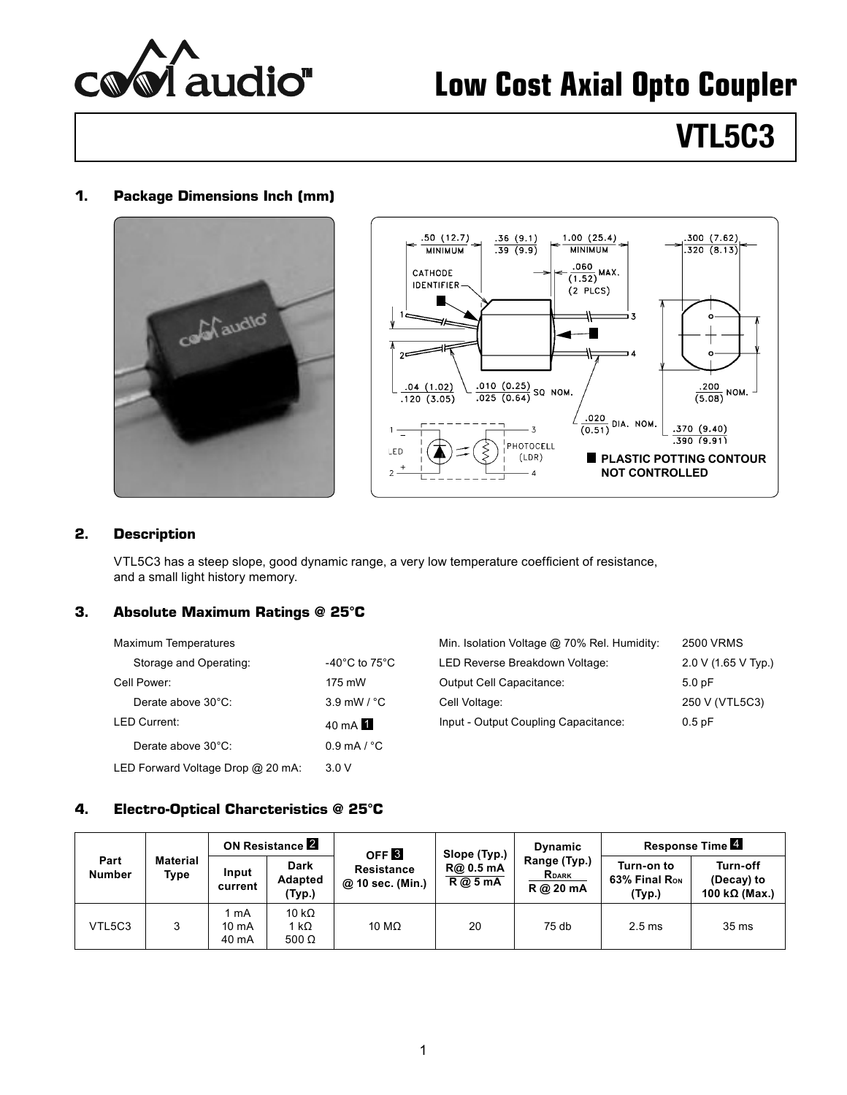

# **Low Cost Axial Opto Coupler**

# **VTL5C3**

#### **1. Package Dimensions Inch (mm)**





#### **2. Description**

VTL5C3 has a steep slope, good dynamic range, a very low temperature coefficient of resistance, and a small light history memory.

## **3. Absolute Maximum Ratings @ 25°C**

| <b>Maximum Temperatures</b>       |                                     | Min. Isolation Voltage @ 70% Rel. Humidity: | 2500 <sub>1</sub> |
|-----------------------------------|-------------------------------------|---------------------------------------------|-------------------|
| Storage and Operating:            | -40 $^{\circ}$ C to 75 $^{\circ}$ C | LED Reverse Breakdown Voltage:              | 2.0 V             |
| Cell Power:                       | 175 mW                              | Output Cell Capacitance:                    | 5.0pF             |
| Derate above 30°C:                | $3.9$ mW $\frac{1}{2}$ °C           | Cell Voltage:                               | 250 V             |
| <b>LED Current:</b>               | $40 \text{ mA}$                     | Input - Output Coupling Capacitance:        | 0.5pF             |
| Derate above 30°C:                | $0.9$ mA $/$ °C                     |                                             |                   |
| LED Forward Voltage Drop @ 20 mA: | 3.0V                                |                                             |                   |

| Maximum Temperatures   |                         | Min. Isolation Voltage @ 70% Rel. Humidity: | 2500 VRMS           |
|------------------------|-------------------------|---------------------------------------------|---------------------|
| Storage and Operating: | -40°C to 75°C $\,$      | LED Reverse Breakdown Voltage:              | 2.0 V (1.65 V Tvp.) |
| Cell Power:            | 175 mW                  | Output Cell Capacitance:                    | 5.0pF               |
| Derate above 30°C:     | $3.9$ mW / $^{\circ}$ C | Cell Voltage:                               | 250 V (VTL5C3)      |
| LED Current:           | $40 \text{ mA}$ 1       | Input - Output Coupling Capacitance:        | 0.5pF               |

## **4. Electro-Optical Charcteristics @ 25°C**

| Part<br><b>Number</b> |                         | <b>ON Resistance 2</b> |                                  | OFF <sub>3</sub>                      | Slope (Typ.)     | <b>Dynamic</b>                            | Response Time 4                                   |                                                 |
|-----------------------|-------------------------|------------------------|----------------------------------|---------------------------------------|------------------|-------------------------------------------|---------------------------------------------------|-------------------------------------------------|
|                       | <b>Material</b><br>Type | Input<br>current       | <b>Dark</b><br>Adapted<br>(Typ.) | <b>Resistance</b><br>@ 10 sec. (Min.) | R@0.5mA<br>R@5mA | Range (Typ.)<br><b>RDARK</b><br>R @ 20 mA | Turn-on to<br>63% Final R <sub>on</sub><br>(Typ.) | Turn-off<br>(Decay) to<br>100 k $\Omega$ (Max.) |
| VTL5C3                | າ                       | mA<br>10 mA<br>40 mA   | 10 k $\Omega$<br>1 kΩ<br>500 Ω   | 10 M $\Omega$                         | 20               | $75$ db                                   | 2.5 <sub>ms</sub>                                 | 35 <sub>ms</sub>                                |